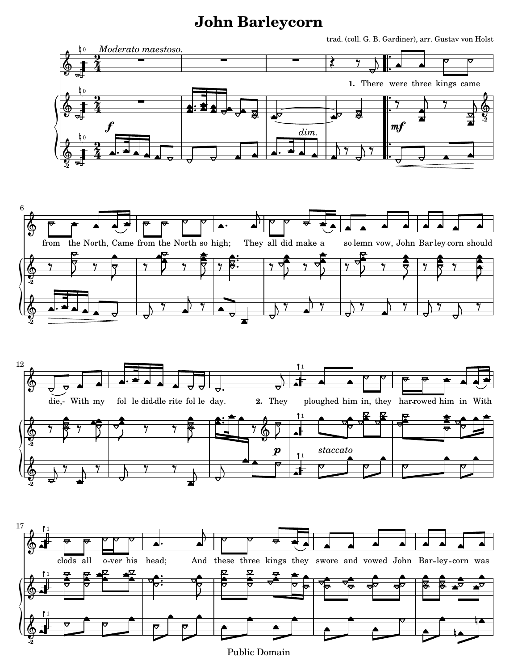## **John Barleycorn**

trad. (coll. G. B. Gardiner), arr. Gustav von Holst Ļ  $b<sub>0</sub>$ *Moderato maestoso.* - $\frac{1}{\sqrt{2}}$ <u>.</u> - -2<br>4 ₹  $\bm{\phi}$ <u>.</u> 4 **1.** There were three kings came Ļ .<br>F 0 <u>.</u> - $\overline{1}$ 2<br>4  $\frac{1}{\gamma}$  $\overline{y}$  $\ddot{\bullet}$  $\frac{6}{9}$   $\frac{1}{4}$  $\sp{\varphi}$  $\ddot{\bullet}$ <u>.</u> **-2**  $\overline{\phantom{a}}$ mf f *dim.* ŀ  $\overline{t}$ 0  $\frac{1}{\sqrt{2}}$ <u>.</u> 2<br>4  $\overline{y}$  $\overline{y}$  $\frac{1}{9}$   $\frac{2}{4}$  and a specific  $\frac{1}{9}$  specific  $\frac{1}{9}$  $\ddot{\phantom{0}}$ <u>.</u> 4 **-2**  $\overline{a}$  $\overline{\phantom{a}}$ ∲ from North, Came from the North so high; They all did make a solemn vow, John Barley corn should  $\frac{1}{2}$  $\ddot{\bullet}$   $\overline{\mathbb{Y}}$  $\overline{\mathbb{Y}}$  $\overline{y}$  $\overline{y}$  $\ddot{\bullet}$  $\overline{\mathbb{Y}}$  $\overline{\mathbb{Y}}$  $\overline{y}$  $\overline{\mathbb{Y}}$   $\overline{\mathbb{Y}}$  $\bigcirc$  $\overline{z}$  $\overline{z}$  $\overline{\phantom{a}}$  $\overline{z}$  $\overline{r}$  $\overline{r}$   $\gamma$   $\rightarrow$ **-2**  $\overline{1}$  $\overline{1}$  $\overline{t}$  $\overline{\mathbf{r}}$  $\frac{1}{\sqrt{2}}$   $\overline{y}$  $\frac{1}{\gamma}$  $\overline{y}$  $\overline{y}$  $\overline{y}$  $\overline{y}$  $\overline{y}$  $\bigcirc$ **-2**  $\overline{\mathbf{r}}$ 1  $\overline{\phantom{a}}$  $\bigcirc$ : die,- With my fol le did dle rite fol le day. 2. They ploughed With my in, they har rowed him in **2.** They him fol With  $\ddot{\bullet}$  $\ddot{\bullet}$ 1  $\overline{y}$  $\overline{y}$  $\overline{z}$  $\overline{y}$  $\overline{\mathbf{y}}$  $\bigcirc$  $\bigcirc$  $\overline{z}$  $\overline{\phantom{a}}$  $\overline{r}$  $\overline{\phantom{a}}$ **-2** *staccato*  $\boldsymbol{p}$ 1  $\frac{1}{\sqrt{2}}$  $\frac{1}{\sqrt{2}}$  $\overline{\ }$  $\frac{1}{\sqrt{2}}$  $\overline{y}$  $\overline{y}$  $\overline{y}$  $\overline{}$  $\sp{\varphi}$ **-2**  $\overline{a}$ 1  $\overline{\phantom{a}}$ ∲ ভ o ver his head; clods all o-ver his head; And these three kings they swore and vowed John Bar-ley-corn was  $\ddot{\bullet}$  $\frac{1}{2}$ 1  $\bigcirc$ 

 $\overline{\phantom{a}}$ 

12

 $\overline{\phantom{a}}$ 

17

**-2**  $\sp{\varphi}$ 

6

 $\overline{z}$  $\ddot{\bullet}$ 1 Ļ Ļ

Public Domain